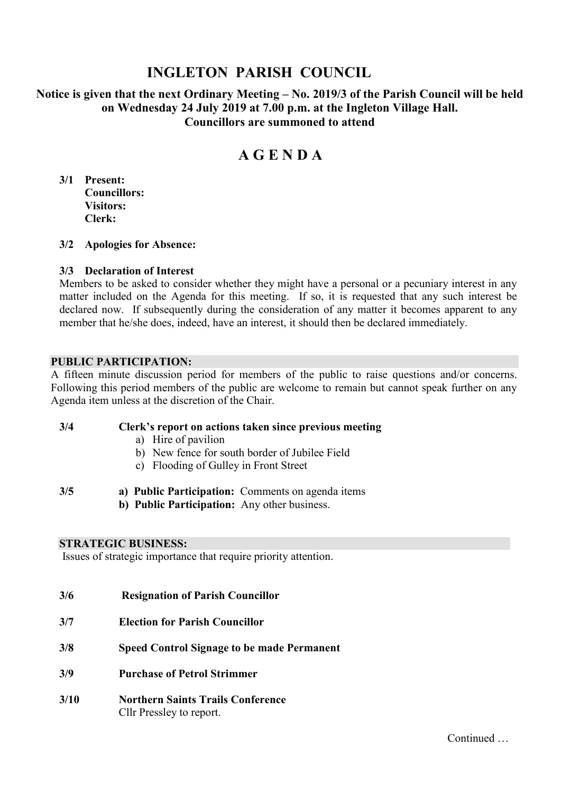## **INGLETON PARISH COUNCIL**

**Notice is given that the next Ordinary Meeting – No. 2019/3 of the Parish Council will be held on Wednesday 24 July 2019 at 7.00 p.m. at the Ingleton Village Hall. Councillors are summoned to attend**

# **A G E N D A**

**3/1 Present: Councillors: Visitors: Clerk:**

#### **3/2 Apologies for Absence:**

#### **3/3 Declaration of Interest**

Members to be asked to consider whether they might have a personal or a pecuniary interest in any matter included on the Agenda for this meeting. If so, it is requested that any such interest be declared now. If subsequently during the consideration of any matter it becomes apparent to any member that he/she does, indeed, have an interest, it should then be declared immediately.

#### **PUBLIC PARTICIPATION:**

A fifteen minute discussion period for members of the public to raise questions and/or concerns. Following this period members of the public are welcome to remain but cannot speak further on any Agenda item unless at the discretion of the Chair.

## **3/4 Clerk's report on actions taken since previous meeting**

- a) Hire of pavilion
- b) New fence for south border of Jubilee Field
- c) Flooding of Gulley in Front Street

#### **3/5 a) Public Participation:** Comments on agenda items

**b) Public Participation:** Any other business.

#### **STRATEGIC BUSINESS:**

Issues of strategic importance that require priority attention.

- **3/6 Resignation of Parish Councillor**
- **3/7 Election for Parish Councillor**
- **3/8 Speed Control Signage to be made Permanent**
- **3/9 Purchase of Petrol Strimmer**
- **3/10 Northern Saints Trails Conference** Cllr Pressley to report.